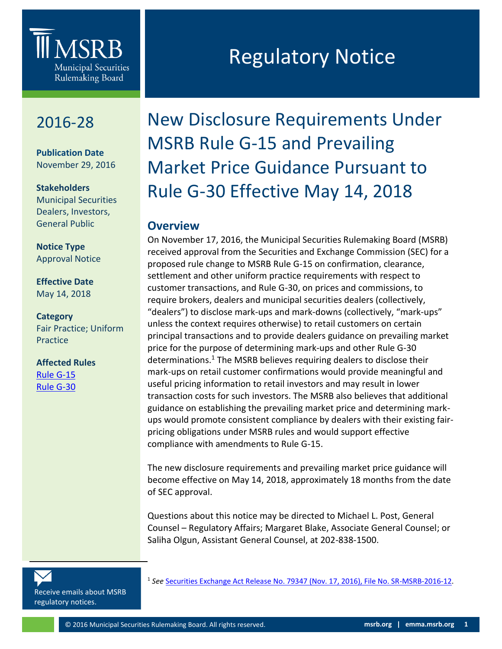

## 2016-28

**0**

**Publication Date** November 29, 2016

**Stakeholders** Municipal Securities Dealers, Investors, General Public

**Notice Type** Approval Notice

**Effective Date** May 14, 2018

#### **Category**

Fair Practice; Uniform Practice

**Affected Rules** [Rule G-15](http://msrb.org/Rules-and-Interpretations/MSRB-Rules/General/Rule-G-15.aspx) [Rule G-30](http://msrb.org/Rules-and-Interpretations/MSRB-Rules/General/Rule-G-30.aspx)

# Regulatory Notice

## New Disclosure Requirements Under MSRB Rule G-15 and Prevailing Market Price Guidance Pursuant to Rule G-30 Effective May 14, 2018

## **Overview**

On November 17, 2016, the Municipal Securities Rulemaking Board (MSRB) received approval from the Securities and Exchange Commission (SEC) for a proposed rule change to MSRB Rule G-15 on confirmation, clearance, settlement and other uniform practice requirements with respect to customer transactions, and Rule G-30, on prices and commissions, to require brokers, dealers and municipal securities dealers (collectively, "dealers") to disclose mark-ups and mark-downs (collectively, "mark-ups" unless the context requires otherwise) to retail customers on certain principal transactions and to provide dealers guidance on prevailing market price for the purpose of determining mark-ups and other Rule G-30 determinations.<sup>1</sup> The MSRB believes requiring dealers to disclose their mark-ups on retail customer confirmations would provide meaningful and useful pricing information to retail investors and may result in lower transaction costs for such investors. The MSRB also believes that additional guidance on establishing the prevailing market price and determining markups would promote consistent compliance by dealers with their existing fairpricing obligations under MSRB rules and would support effective compliance with amendments to Rule G-15.

The new disclosure requirements and prevailing market price guidance will become effective on May 14, 2018, approximately 18 months from the date of SEC approval.

Questions about this notice may be directed to Michael L. Post, General Counsel – Regulatory Affairs; Margaret Blake, Associate General Counsel; or Saliha Olgun, Assistant General Counsel, at 202-838-1500.

[Receive emails about MSRB](https://public.govdelivery.com/accounts/VAORGMSRB/subscriber/new?topic_id=VAORGMSRB_9)  [regulatory notices.](https://public.govdelivery.com/accounts/VAORGMSRB/subscriber/new?topic_id=VAORGMSRB_9)

l

<sup>1</sup> See [Securities Exchange Act Release No. 79347 \(Nov. 17, 2016\), File No. SR-MSRB-2016-12.](https://www.sec.gov/rules/sro/msrb/2016/34-79347.pdf)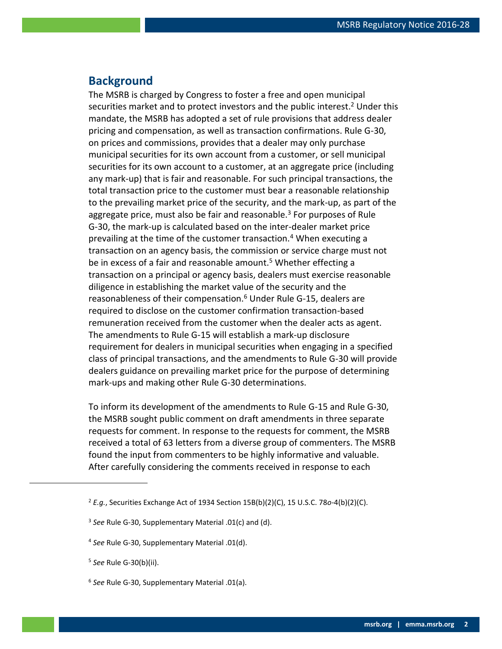### **Background**

The MSRB is charged by Congress to foster a free and open municipal securities market and to protect investors and the public interest.<sup>2</sup> Under this mandate, the MSRB has adopted a set of rule provisions that address dealer pricing and compensation, as well as transaction confirmations. Rule G-30, on prices and commissions, provides that a dealer may only purchase municipal securities for its own account from a customer, or sell municipal securities for its own account to a customer, at an aggregate price (including any mark-up) that is fair and reasonable. For such principal transactions, the total transaction price to the customer must bear a reasonable relationship to the prevailing market price of the security, and the mark-up, as part of the aggregate price, must also be fair and reasonable. $3$  For purposes of Rule G-30, the mark-up is calculated based on the inter-dealer market price prevailing at the time of the customer transaction.<sup>4</sup> When executing a transaction on an agency basis, the commission or service charge must not be in excess of a fair and reasonable amount.<sup>5</sup> Whether effecting a transaction on a principal or agency basis, dealers must exercise reasonable diligence in establishing the market value of the security and the reasonableness of their compensation.<sup>6</sup> Under Rule G-15, dealers are required to disclose on the customer confirmation transaction-based remuneration received from the customer when the dealer acts as agent. The amendments to Rule G-15 will establish a mark-up disclosure requirement for dealers in municipal securities when engaging in a specified class of principal transactions, and the amendments to Rule G-30 will provide dealers guidance on prevailing market price for the purpose of determining mark-ups and making other Rule G-30 determinations.

To inform its development of the amendments to Rule G-15 and Rule G-30, the MSRB sought public comment on draft amendments in three separate requests for comment. In response to the requests for comment, the MSRB received a total of 63 letters from a diverse group of commenters. The MSRB found the input from commenters to be highly informative and valuable. After carefully considering the comments received in response to each

<sup>2</sup> *E.g.*, Securities Exchange Act of 1934 Section 15B(b)(2)(C), 15 U.S.C. 78*o*-4(b)(2)(C).

<sup>3</sup> *See* Rule G-30, Supplementary Material .01(c) and (d).

<sup>4</sup> *See* Rule G-30, Supplementary Material .01(d).

<sup>5</sup> *See* Rule G-30(b)(ii).

<sup>6</sup> *See* Rule G-30, Supplementary Material .01(a).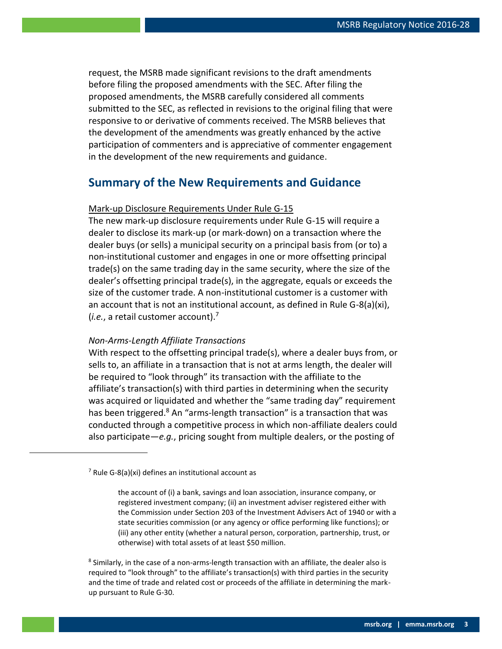request, the MSRB made significant revisions to the draft amendments before filing the proposed amendments with the SEC. After filing the proposed amendments, the MSRB carefully considered all comments submitted to the SEC, as reflected in revisions to the original filing that were responsive to or derivative of comments received. The MSRB believes that the development of the amendments was greatly enhanced by the active participation of commenters and is appreciative of commenter engagement in the development of the new requirements and guidance.

### **Summary of the New Requirements and Guidance**

#### Mark-up Disclosure Requirements Under Rule G-15

The new mark-up disclosure requirements under Rule G-15 will require a dealer to disclose its mark-up (or mark-down) on a transaction where the dealer buys (or sells) a municipal security on a principal basis from (or to) a non-institutional customer and engages in one or more offsetting principal trade(s) on the same trading day in the same security, where the size of the dealer's offsetting principal trade(s), in the aggregate, equals or exceeds the size of the customer trade. A non-institutional customer is a customer with an account that is not an institutional account, as defined in Rule G-8(a)(xi), (*i.e.*, a retail customer account).<sup>7</sup>

#### *Non-Arms-Length Affiliate Transactions*

With respect to the offsetting principal trade(s), where a dealer buys from, or sells to, an affiliate in a transaction that is not at arms length, the dealer will be required to "look through" its transaction with the affiliate to the affiliate's transaction(s) with third parties in determining when the security was acquired or liquidated and whether the "same trading day" requirement has been triggered.<sup>8</sup> An "arms-length transaction" is a transaction that was conducted through a competitive process in which non-affiliate dealers could also participate—*e.g.*, pricing sought from multiple dealers, or the posting of

 $\overline{a}$ 

 $7$  Rule G-8(a)(xi) defines an institutional account as

the account of (i) a bank, savings and loan association, insurance company, or registered investment company; (ii) an investment adviser registered either with the Commission under Section 203 of the Investment Advisers Act of 1940 or with a state securities commission (or any agency or office performing like functions); or (iii) any other entity (whether a natural person, corporation, partnership, trust, or otherwise) with total assets of at least \$50 million.

<sup>&</sup>lt;sup>8</sup> Similarly, in the case of a non-arms-length transaction with an affiliate, the dealer also is required to "look through" to the affiliate's transaction(s) with third parties in the security and the time of trade and related cost or proceeds of the affiliate in determining the markup pursuant to Rule G-30.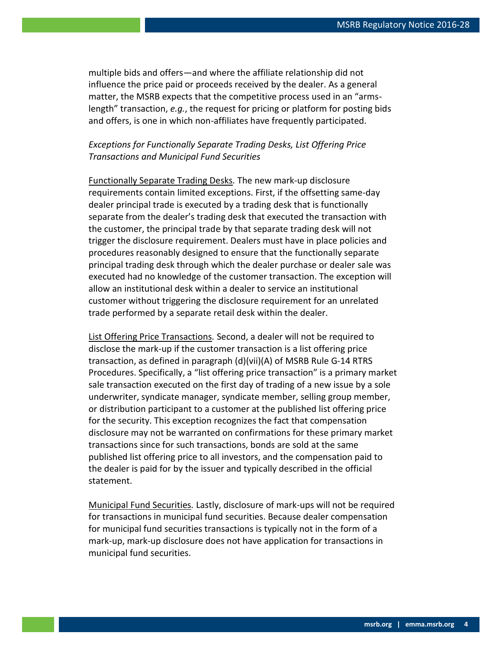multiple bids and offers—and where the affiliate relationship did not influence the price paid or proceeds received by the dealer. As a general matter, the MSRB expects that the competitive process used in an "armslength" transaction, *e.g.*, the request for pricing or platform for posting bids and offers, is one in which non-affiliates have frequently participated.

#### *Exceptions for Functionally Separate Trading Desks, List Offering Price Transactions and Municipal Fund Securities*

Functionally Separate Trading Desks*.* The new mark-up disclosure requirements contain limited exceptions. First, if the offsetting same-day dealer principal trade is executed by a trading desk that is functionally separate from the dealer's trading desk that executed the transaction with the customer, the principal trade by that separate trading desk will not trigger the disclosure requirement. Dealers must have in place policies and procedures reasonably designed to ensure that the functionally separate principal trading desk through which the dealer purchase or dealer sale was executed had no knowledge of the customer transaction. The exception will allow an institutional desk within a dealer to service an institutional customer without triggering the disclosure requirement for an unrelated trade performed by a separate retail desk within the dealer.

List Offering Price Transactions*.* Second, a dealer will not be required to disclose the mark-up if the customer transaction is a list offering price transaction, as defined in paragraph (d)(vii)(A) of MSRB Rule G-14 RTRS Procedures. Specifically, a "list offering price transaction" is a primary market sale transaction executed on the first day of trading of a new issue by a sole underwriter, syndicate manager, syndicate member, selling group member, or distribution participant to a customer at the published list offering price for the security. This exception recognizes the fact that compensation disclosure may not be warranted on confirmations for these primary market transactions since for such transactions, bonds are sold at the same published list offering price to all investors, and the compensation paid to the dealer is paid for by the issuer and typically described in the official statement.

Municipal Fund Securities*.* Lastly, disclosure of mark-ups will not be required for transactions in municipal fund securities. Because dealer compensation for municipal fund securities transactions is typically not in the form of a mark-up, mark-up disclosure does not have application for transactions in municipal fund securities.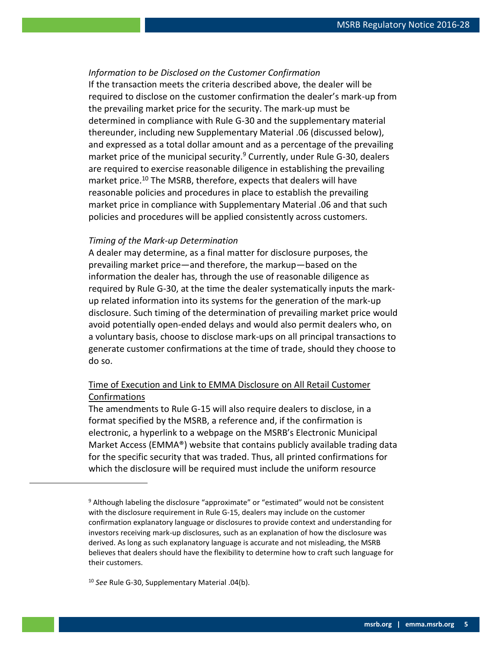#### *Information to be Disclosed on the Customer Confirmation*

If the transaction meets the criteria described above, the dealer will be required to disclose on the customer confirmation the dealer's mark-up from the prevailing market price for the security. The mark-up must be determined in compliance with Rule G-30 and the supplementary material thereunder, including new Supplementary Material .06 (discussed below), and expressed as a total dollar amount and as a percentage of the prevailing market price of the municipal security. $9$  Currently, under Rule G-30, dealers are required to exercise reasonable diligence in establishing the prevailing market price.<sup>10</sup> The MSRB, therefore, expects that dealers will have reasonable policies and procedures in place to establish the prevailing market price in compliance with Supplementary Material .06 and that such policies and procedures will be applied consistently across customers.

#### *Timing of the Mark-up Determination*

A dealer may determine, as a final matter for disclosure purposes, the prevailing market price—and therefore, the markup—based on the information the dealer has, through the use of reasonable diligence as required by Rule G-30, at the time the dealer systematically inputs the markup related information into its systems for the generation of the mark-up disclosure. Such timing of the determination of prevailing market price would avoid potentially open-ended delays and would also permit dealers who, on a voluntary basis, choose to disclose mark-ups on all principal transactions to generate customer confirmations at the time of trade, should they choose to do so.

#### Time of Execution and Link to EMMA Disclosure on All Retail Customer Confirmations

The amendments to Rule G-15 will also require dealers to disclose, in a format specified by the MSRB, a reference and, if the confirmation is electronic, a hyperlink to a webpage on the MSRB's Electronic Municipal Market Access (EMMA®) website that contains publicly available trading data for the specific security that was traded. Thus, all printed confirmations for which the disclosure will be required must include the uniform resource

<sup>&</sup>lt;sup>9</sup> Although labeling the disclosure "approximate" or "estimated" would not be consistent with the disclosure requirement in Rule G-15, dealers may include on the customer confirmation explanatory language or disclosures to provide context and understanding for investors receiving mark-up disclosures, such as an explanation of how the disclosure was derived. As long as such explanatory language is accurate and not misleading, the MSRB believes that dealers should have the flexibility to determine how to craft such language for their customers.

<sup>10</sup> *See* Rule G-30, Supplementary Material .04(b).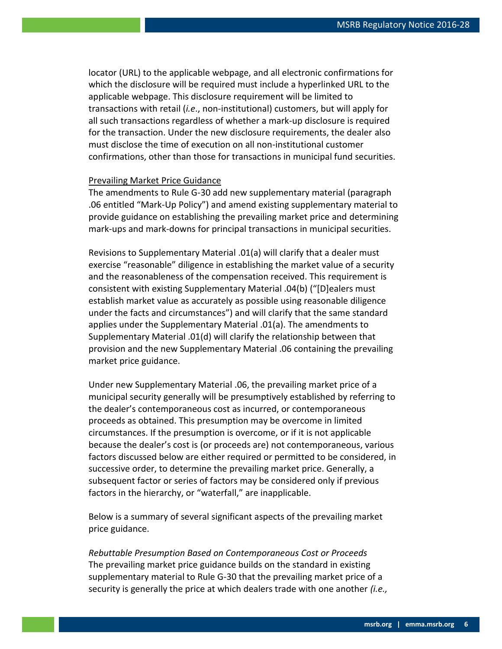locator (URL) to the applicable webpage, and all electronic confirmations for which the disclosure will be required must include a hyperlinked URL to the applicable webpage. This disclosure requirement will be limited to transactions with retail (*i.e*., non-institutional) customers, but will apply for all such transactions regardless of whether a mark-up disclosure is required for the transaction. Under the new disclosure requirements, the dealer also must disclose the time of execution on all non-institutional customer confirmations, other than those for transactions in municipal fund securities.

#### Prevailing Market Price Guidance

The amendments to Rule G-30 add new supplementary material (paragraph .06 entitled "Mark-Up Policy") and amend existing supplementary material to provide guidance on establishing the prevailing market price and determining mark-ups and mark-downs for principal transactions in municipal securities.

Revisions to Supplementary Material .01(a) will clarify that a dealer must exercise "reasonable" diligence in establishing the market value of a security and the reasonableness of the compensation received. This requirement is consistent with existing Supplementary Material .04(b) ("[D]ealers must establish market value as accurately as possible using reasonable diligence under the facts and circumstances") and will clarify that the same standard applies under the Supplementary Material .01(a). The amendments to Supplementary Material .01(d) will clarify the relationship between that provision and the new Supplementary Material .06 containing the prevailing market price guidance.

Under new Supplementary Material .06, the prevailing market price of a municipal security generally will be presumptively established by referring to the dealer's contemporaneous cost as incurred, or contemporaneous proceeds as obtained. This presumption may be overcome in limited circumstances. If the presumption is overcome, or if it is not applicable because the dealer's cost is (or proceeds are) not contemporaneous, various factors discussed below are either required or permitted to be considered, in successive order, to determine the prevailing market price. Generally, a subsequent factor or series of factors may be considered only if previous factors in the hierarchy, or "waterfall," are inapplicable.

Below is a summary of several significant aspects of the prevailing market price guidance.

*Rebuttable Presumption Based on Contemporaneous Cost or Proceeds* The prevailing market price guidance builds on the standard in existing supplementary material to Rule G-30 that the prevailing market price of a security is generally the price at which dealers trade with one another *(i.e.,*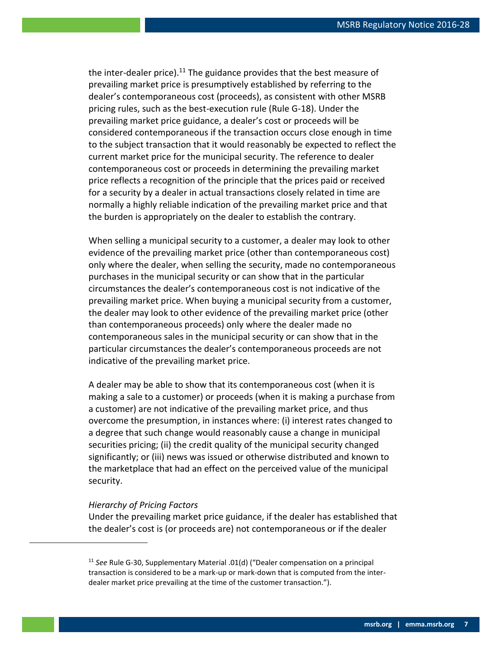the inter-dealer price).<sup>11</sup> The guidance provides that the best measure of prevailing market price is presumptively established by referring to the dealer's contemporaneous cost (proceeds), as consistent with other MSRB pricing rules, such as the best-execution rule (Rule G-18). Under the prevailing market price guidance, a dealer's cost or proceeds will be considered contemporaneous if the transaction occurs close enough in time to the subject transaction that it would reasonably be expected to reflect the current market price for the municipal security. The reference to dealer contemporaneous cost or proceeds in determining the prevailing market price reflects a recognition of the principle that the prices paid or received for a security by a dealer in actual transactions closely related in time are normally a highly reliable indication of the prevailing market price and that the burden is appropriately on the dealer to establish the contrary.

When selling a municipal security to a customer, a dealer may look to other evidence of the prevailing market price (other than contemporaneous cost) only where the dealer, when selling the security, made no contemporaneous purchases in the municipal security or can show that in the particular circumstances the dealer's contemporaneous cost is not indicative of the prevailing market price. When buying a municipal security from a customer, the dealer may look to other evidence of the prevailing market price (other than contemporaneous proceeds) only where the dealer made no contemporaneous sales in the municipal security or can show that in the particular circumstances the dealer's contemporaneous proceeds are not indicative of the prevailing market price.

A dealer may be able to show that its contemporaneous cost (when it is making a sale to a customer) or proceeds (when it is making a purchase from a customer) are not indicative of the prevailing market price, and thus overcome the presumption, in instances where: (i) interest rates changed to a degree that such change would reasonably cause a change in municipal securities pricing; (ii) the credit quality of the municipal security changed significantly; or (iii) news was issued or otherwise distributed and known to the marketplace that had an effect on the perceived value of the municipal security.

#### *Hierarchy of Pricing Factors*

 $\overline{a}$ 

Under the prevailing market price guidance, if the dealer has established that the dealer's cost is (or proceeds are) not contemporaneous or if the dealer

<sup>11</sup> *See* Rule G-30, Supplementary Material .01(d) ("Dealer compensation on a principal transaction is considered to be a mark-up or mark-down that is computed from the interdealer market price prevailing at the time of the customer transaction.").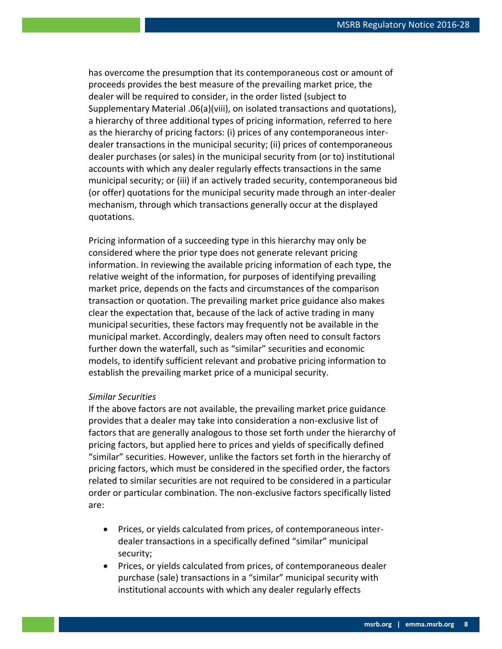has overcome the presumption that its contemporaneous cost or amount of proceeds provides the best measure of the prevailing market price, the dealer will be required to consider, in the order listed (subject to Supplementary Material .06(a)(viii), on isolated transactions and quotations), a hierarchy of three additional types of pricing information, referred to here as the hierarchy of pricing factors: (i) prices of any contemporaneous interdealer transactions in the municipal security; (ii) prices of contemporaneous dealer purchases (or sales) in the municipal security from (or to) institutional accounts with which any dealer regularly effects transactions in the same municipal security; or (iii) if an actively traded security, contemporaneous bid (or offer) quotations for the municipal security made through an inter-dealer mechanism, through which transactions generally occur at the displayed quotations.

Pricing information of a succeeding type in this hierarchy may only be considered where the prior type does not generate relevant pricing information. In reviewing the available pricing information of each type, the relative weight of the information, for purposes of identifying prevailing market price, depends on the facts and circumstances of the comparison transaction or quotation. The prevailing market price guidance also makes clear the expectation that, because of the lack of active trading in many municipal securities, these factors may frequently not be available in the municipal market. Accordingly, dealers may often need to consult factors further down the waterfall, such as "similar" securities and economic models, to identify sufficient relevant and probative pricing information to establish the prevailing market price of a municipal security.

#### *Similar Securities*

If the above factors are not available, the prevailing market price guidance provides that a dealer may take into consideration a non-exclusive list of factors that are generally analogous to those set forth under the hierarchy of pricing factors, but applied here to prices and yields of specifically defined "similar" securities. However, unlike the factors set forth in the hierarchy of pricing factors, which must be considered in the specified order, the factors related to similar securities are not required to be considered in a particular order or particular combination. The non-exclusive factors specifically listed are:

- Prices, or yields calculated from prices, of contemporaneous interdealer transactions in a specifically defined "similar" municipal security;
- Prices, or yields calculated from prices, of contemporaneous dealer purchase (sale) transactions in a "similar" municipal security with institutional accounts with which any dealer regularly effects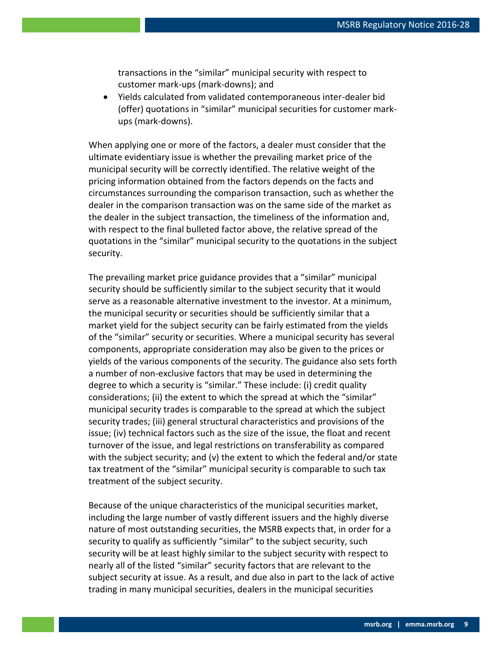transactions in the "similar" municipal security with respect to customer mark-ups (mark-downs); and

 Yields calculated from validated contemporaneous inter-dealer bid (offer) quotations in "similar" municipal securities for customer markups (mark-downs).

When applying one or more of the factors, a dealer must consider that the ultimate evidentiary issue is whether the prevailing market price of the municipal security will be correctly identified. The relative weight of the pricing information obtained from the factors depends on the facts and circumstances surrounding the comparison transaction, such as whether the dealer in the comparison transaction was on the same side of the market as the dealer in the subject transaction, the timeliness of the information and, with respect to the final bulleted factor above, the relative spread of the quotations in the "similar" municipal security to the quotations in the subject security.

The prevailing market price guidance provides that a "similar" municipal security should be sufficiently similar to the subject security that it would serve as a reasonable alternative investment to the investor. At a minimum, the municipal security or securities should be sufficiently similar that a market yield for the subject security can be fairly estimated from the yields of the "similar" security or securities. Where a municipal security has several components, appropriate consideration may also be given to the prices or yields of the various components of the security. The guidance also sets forth a number of non-exclusive factors that may be used in determining the degree to which a security is "similar." These include: (i) credit quality considerations; (ii) the extent to which the spread at which the "similar" municipal security trades is comparable to the spread at which the subject security trades; (iii) general structural characteristics and provisions of the issue; (iv) technical factors such as the size of the issue, the float and recent turnover of the issue, and legal restrictions on transferability as compared with the subject security; and (v) the extent to which the federal and/or state tax treatment of the "similar" municipal security is comparable to such tax treatment of the subject security.

Because of the unique characteristics of the municipal securities market, including the large number of vastly different issuers and the highly diverse nature of most outstanding securities, the MSRB expects that, in order for a security to qualify as sufficiently "similar" to the subject security, such security will be at least highly similar to the subject security with respect to nearly all of the listed "similar" security factors that are relevant to the subject security at issue. As a result, and due also in part to the lack of active trading in many municipal securities, dealers in the municipal securities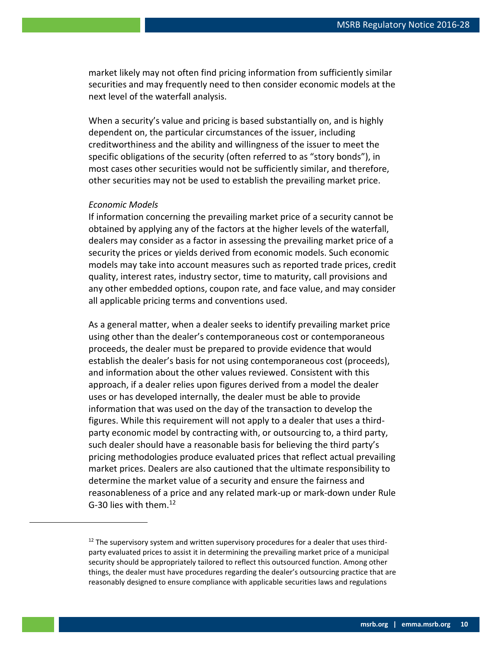market likely may not often find pricing information from sufficiently similar securities and may frequently need to then consider economic models at the next level of the waterfall analysis.

When a security's value and pricing is based substantially on, and is highly dependent on, the particular circumstances of the issuer, including creditworthiness and the ability and willingness of the issuer to meet the specific obligations of the security (often referred to as "story bonds"), in most cases other securities would not be sufficiently similar, and therefore, other securities may not be used to establish the prevailing market price.

#### *Economic Models*

 $\overline{a}$ 

If information concerning the prevailing market price of a security cannot be obtained by applying any of the factors at the higher levels of the waterfall, dealers may consider as a factor in assessing the prevailing market price of a security the prices or yields derived from economic models. Such economic models may take into account measures such as reported trade prices, credit quality, interest rates, industry sector, time to maturity, call provisions and any other embedded options, coupon rate, and face value, and may consider all applicable pricing terms and conventions used.

As a general matter, when a dealer seeks to identify prevailing market price using other than the dealer's contemporaneous cost or contemporaneous proceeds, the dealer must be prepared to provide evidence that would establish the dealer's basis for not using contemporaneous cost (proceeds), and information about the other values reviewed. Consistent with this approach, if a dealer relies upon figures derived from a model the dealer uses or has developed internally, the dealer must be able to provide information that was used on the day of the transaction to develop the figures. While this requirement will not apply to a dealer that uses a thirdparty economic model by contracting with, or outsourcing to, a third party, such dealer should have a reasonable basis for believing the third party's pricing methodologies produce evaluated prices that reflect actual prevailing market prices. Dealers are also cautioned that the ultimate responsibility to determine the market value of a security and ensure the fairness and reasonableness of a price and any related mark-up or mark-down under Rule G-30 lies with them.<sup>12</sup>

 $12$  The supervisory system and written supervisory procedures for a dealer that uses thirdparty evaluated prices to assist it in determining the prevailing market price of a municipal security should be appropriately tailored to reflect this outsourced function. Among other things, the dealer must have procedures regarding the dealer's outsourcing practice that are reasonably designed to ensure compliance with applicable securities laws and regulations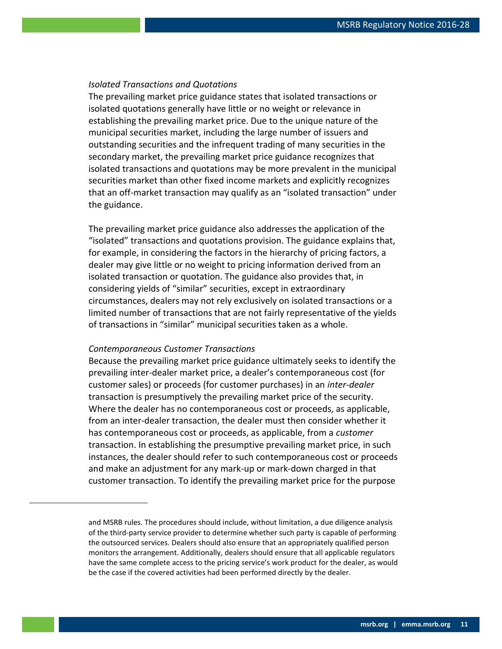#### *Isolated Transactions and Quotations*

The prevailing market price guidance states that isolated transactions or isolated quotations generally have little or no weight or relevance in establishing the prevailing market price. Due to the unique nature of the municipal securities market, including the large number of issuers and outstanding securities and the infrequent trading of many securities in the secondary market, the prevailing market price guidance recognizes that isolated transactions and quotations may be more prevalent in the municipal securities market than other fixed income markets and explicitly recognizes that an off-market transaction may qualify as an "isolated transaction" under the guidance.

The prevailing market price guidance also addresses the application of the "isolated" transactions and quotations provision. The guidance explains that, for example, in considering the factors in the hierarchy of pricing factors, a dealer may give little or no weight to pricing information derived from an isolated transaction or quotation. The guidance also provides that, in considering yields of "similar" securities, except in extraordinary circumstances, dealers may not rely exclusively on isolated transactions or a limited number of transactions that are not fairly representative of the yields of transactions in "similar" municipal securities taken as a whole.

#### *Contemporaneous Customer Transactions*

 $\overline{a}$ 

Because the prevailing market price guidance ultimately seeks to identify the prevailing inter-dealer market price, a dealer's contemporaneous cost (for customer sales) or proceeds (for customer purchases) in an *inter-dealer* transaction is presumptively the prevailing market price of the security. Where the dealer has no contemporaneous cost or proceeds, as applicable, from an inter-dealer transaction, the dealer must then consider whether it has contemporaneous cost or proceeds, as applicable, from a *customer*  transaction. In establishing the presumptive prevailing market price, in such instances, the dealer should refer to such contemporaneous cost or proceeds and make an adjustment for any mark-up or mark-down charged in that customer transaction. To identify the prevailing market price for the purpose

and MSRB rules. The procedures should include, without limitation, a due diligence analysis of the third-party service provider to determine whether such party is capable of performing the outsourced services. Dealers should also ensure that an appropriately qualified person monitors the arrangement. Additionally, dealers should ensure that all applicable regulators have the same complete access to the pricing service's work product for the dealer, as would be the case if the covered activities had been performed directly by the dealer.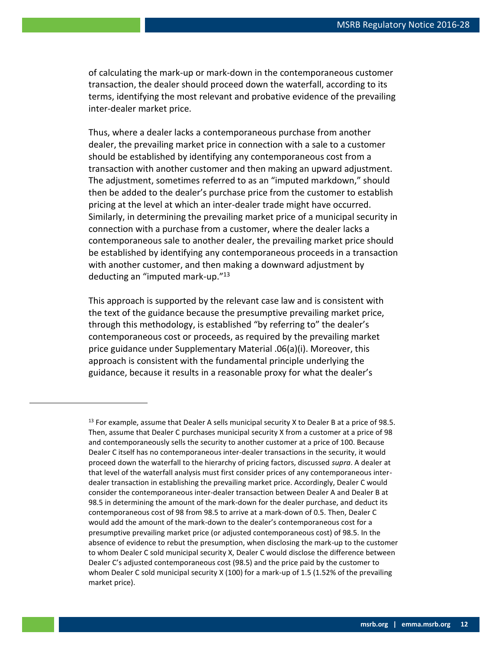of calculating the mark-up or mark-down in the contemporaneous customer transaction, the dealer should proceed down the waterfall, according to its terms, identifying the most relevant and probative evidence of the prevailing inter-dealer market price.

Thus, where a dealer lacks a contemporaneous purchase from another dealer, the prevailing market price in connection with a sale to a customer should be established by identifying any contemporaneous cost from a transaction with another customer and then making an upward adjustment. The adjustment, sometimes referred to as an "imputed markdown," should then be added to the dealer's purchase price from the customer to establish pricing at the level at which an inter-dealer trade might have occurred. Similarly, in determining the prevailing market price of a municipal security in connection with a purchase from a customer, where the dealer lacks a contemporaneous sale to another dealer, the prevailing market price should be established by identifying any contemporaneous proceeds in a transaction with another customer, and then making a downward adjustment by deducting an "imputed mark-up."<sup>13</sup>

This approach is supported by the relevant case law and is consistent with the text of the guidance because the presumptive prevailing market price, through this methodology, is established "by referring to" the dealer's contemporaneous cost or proceeds, as required by the prevailing market price guidance under Supplementary Material .06(a)(i). Moreover, this approach is consistent with the fundamental principle underlying the guidance, because it results in a reasonable proxy for what the dealer's

<sup>&</sup>lt;sup>13</sup> For example, assume that Dealer A sells municipal security X to Dealer B at a price of 98.5. Then, assume that Dealer C purchases municipal security X from a customer at a price of 98 and contemporaneously sells the security to another customer at a price of 100. Because Dealer C itself has no contemporaneous inter-dealer transactions in the security, it would proceed down the waterfall to the hierarchy of pricing factors, discussed *supra*. A dealer at that level of the waterfall analysis must first consider prices of any contemporaneous interdealer transaction in establishing the prevailing market price. Accordingly, Dealer C would consider the contemporaneous inter-dealer transaction between Dealer A and Dealer B at 98.5 in determining the amount of the mark-down for the dealer purchase, and deduct its contemporaneous cost of 98 from 98.5 to arrive at a mark-down of 0.5. Then, Dealer C would add the amount of the mark-down to the dealer's contemporaneous cost for a presumptive prevailing market price (or adjusted contemporaneous cost) of 98.5. In the absence of evidence to rebut the presumption, when disclosing the mark-up to the customer to whom Dealer C sold municipal security X, Dealer C would disclose the difference between Dealer C's adjusted contemporaneous cost (98.5) and the price paid by the customer to whom Dealer C sold municipal security X (100) for a mark-up of 1.5 (1.52% of the prevailing market price).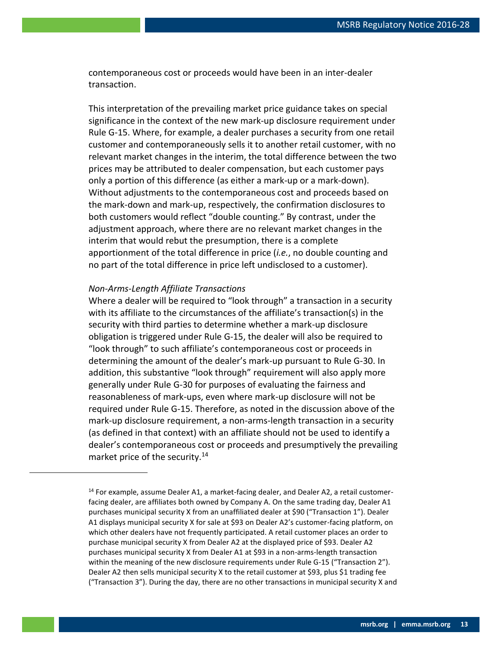contemporaneous cost or proceeds would have been in an inter-dealer transaction.

This interpretation of the prevailing market price guidance takes on special significance in the context of the new mark-up disclosure requirement under Rule G-15. Where, for example, a dealer purchases a security from one retail customer and contemporaneously sells it to another retail customer, with no relevant market changes in the interim, the total difference between the two prices may be attributed to dealer compensation, but each customer pays only a portion of this difference (as either a mark-up or a mark-down). Without adjustments to the contemporaneous cost and proceeds based on the mark-down and mark-up, respectively, the confirmation disclosures to both customers would reflect "double counting." By contrast, under the adjustment approach, where there are no relevant market changes in the interim that would rebut the presumption, there is a complete apportionment of the total difference in price (*i.e.*, no double counting and no part of the total difference in price left undisclosed to a customer).

#### *Non-Arms-Length Affiliate Transactions*

 $\overline{a}$ 

Where a dealer will be required to "look through" a transaction in a security with its affiliate to the circumstances of the affiliate's transaction(s) in the security with third parties to determine whether a mark-up disclosure obligation is triggered under Rule G-15, the dealer will also be required to "look through" to such affiliate's contemporaneous cost or proceeds in determining the amount of the dealer's mark-up pursuant to Rule G-30. In addition, this substantive "look through" requirement will also apply more generally under Rule G-30 for purposes of evaluating the fairness and reasonableness of mark-ups, even where mark-up disclosure will not be required under Rule G-15. Therefore, as noted in the discussion above of the mark-up disclosure requirement, a non-arms-length transaction in a security (as defined in that context) with an affiliate should not be used to identify a dealer's contemporaneous cost or proceeds and presumptively the prevailing market price of the security.<sup>14</sup>

 $14$  For example, assume Dealer A1, a market-facing dealer, and Dealer A2, a retail customerfacing dealer, are affiliates both owned by Company A. On the same trading day, Dealer A1 purchases municipal security X from an unaffiliated dealer at \$90 ("Transaction 1"). Dealer A1 displays municipal security X for sale at \$93 on Dealer A2's customer-facing platform, on which other dealers have not frequently participated. A retail customer places an order to purchase municipal security X from Dealer A2 at the displayed price of \$93. Dealer A2 purchases municipal security X from Dealer A1 at \$93 in a non-arms-length transaction within the meaning of the new disclosure requirements under Rule G-15 ("Transaction 2"). Dealer A2 then sells municipal security X to the retail customer at \$93, plus \$1 trading fee ("Transaction 3"). During the day, there are no other transactions in municipal security X and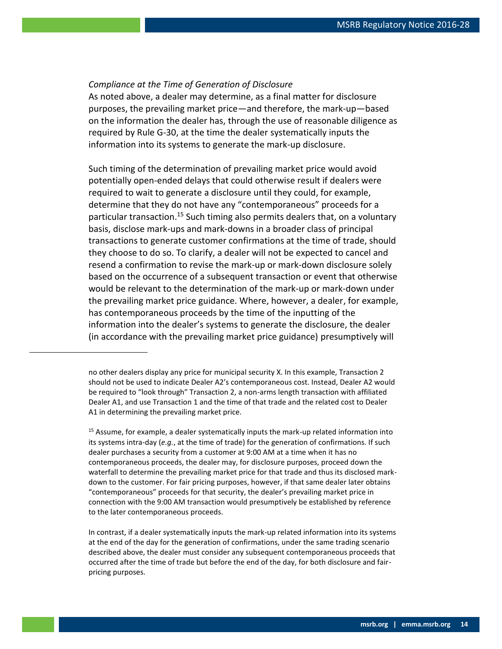#### *Compliance at the Time of Generation of Disclosure*

As noted above, a dealer may determine, as a final matter for disclosure purposes, the prevailing market price—and therefore, the mark-up—based on the information the dealer has, through the use of reasonable diligence as required by Rule G-30, at the time the dealer systematically inputs the information into its systems to generate the mark-up disclosure.

Such timing of the determination of prevailing market price would avoid potentially open-ended delays that could otherwise result if dealers were required to wait to generate a disclosure until they could, for example, determine that they do not have any "contemporaneous" proceeds for a particular transaction.<sup>15</sup> Such timing also permits dealers that, on a voluntary basis, disclose mark-ups and mark-downs in a broader class of principal transactions to generate customer confirmations at the time of trade, should they choose to do so. To clarify, a dealer will not be expected to cancel and resend a confirmation to revise the mark-up or mark-down disclosure solely based on the occurrence of a subsequent transaction or event that otherwise would be relevant to the determination of the mark-up or mark-down under the prevailing market price guidance. Where, however, a dealer, for example, has contemporaneous proceeds by the time of the inputting of the information into the dealer's systems to generate the disclosure, the dealer (in accordance with the prevailing market price guidance) presumptively will

<sup>15</sup> Assume, for example, a dealer systematically inputs the mark-up related information into its systems intra-day (*e.g.*, at the time of trade) for the generation of confirmations. If such dealer purchases a security from a customer at 9:00 AM at a time when it has no contemporaneous proceeds, the dealer may, for disclosure purposes, proceed down the waterfall to determine the prevailing market price for that trade and thus its disclosed markdown to the customer. For fair pricing purposes, however, if that same dealer later obtains "contemporaneous" proceeds for that security, the dealer's prevailing market price in connection with the 9:00 AM transaction would presumptively be established by reference to the later contemporaneous proceeds.

In contrast, if a dealer systematically inputs the mark-up related information into its systems at the end of the day for the generation of confirmations, under the same trading scenario described above, the dealer must consider any subsequent contemporaneous proceeds that occurred after the time of trade but before the end of the day, for both disclosure and fairpricing purposes.

no other dealers display any price for municipal security X. In this example, Transaction 2 should not be used to indicate Dealer A2's contemporaneous cost. Instead, Dealer A2 would be required to "look through" Transaction 2, a non-arms length transaction with affiliated Dealer A1, and use Transaction 1 and the time of that trade and the related cost to Dealer A1 in determining the prevailing market price.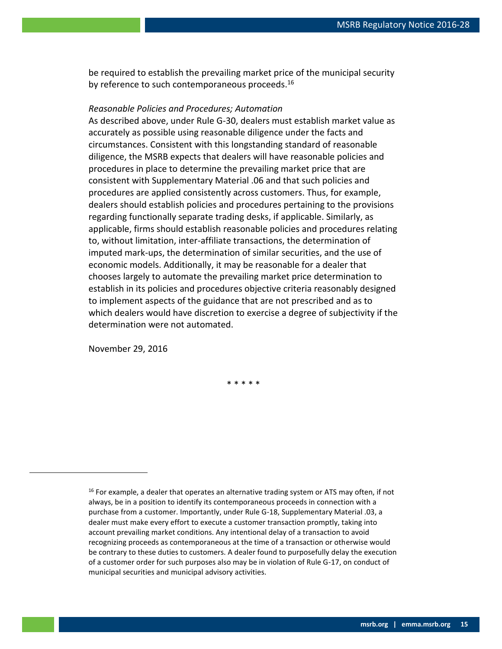be required to establish the prevailing market price of the municipal security by reference to such contemporaneous proceeds.<sup>16</sup>

#### *Reasonable Policies and Procedures; Automation*

As described above, under Rule G-30, dealers must establish market value as accurately as possible using reasonable diligence under the facts and circumstances. Consistent with this longstanding standard of reasonable diligence, the MSRB expects that dealers will have reasonable policies and procedures in place to determine the prevailing market price that are consistent with Supplementary Material .06 and that such policies and procedures are applied consistently across customers. Thus, for example, dealers should establish policies and procedures pertaining to the provisions regarding functionally separate trading desks, if applicable. Similarly, as applicable, firms should establish reasonable policies and procedures relating to, without limitation, inter-affiliate transactions, the determination of imputed mark-ups, the determination of similar securities, and the use of economic models. Additionally, it may be reasonable for a dealer that chooses largely to automate the prevailing market price determination to establish in its policies and procedures objective criteria reasonably designed to implement aspects of the guidance that are not prescribed and as to which dealers would have discretion to exercise a degree of subjectivity if the determination were not automated.

November 29, 2016

 $\overline{a}$ 

\* \* \* \* \*

 $16$  For example, a dealer that operates an alternative trading system or ATS may often, if not always, be in a position to identify its contemporaneous proceeds in connection with a purchase from a customer. Importantly, under Rule G-18, Supplementary Material .03, a dealer must make every effort to execute a customer transaction promptly, taking into account prevailing market conditions. Any intentional delay of a transaction to avoid recognizing proceeds as contemporaneous at the time of a transaction or otherwise would be contrary to these duties to customers. A dealer found to purposefully delay the execution of a customer order for such purposes also may be in violation of Rule G-17, on conduct of municipal securities and municipal advisory activities.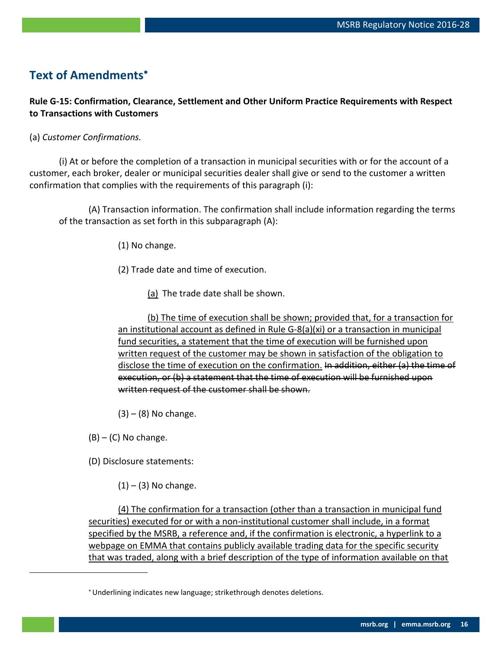## **Text of Amendments**

**Rule G-15: Confirmation, Clearance, Settlement and Other Uniform Practice Requirements with Respect to Transactions with Customers**

#### (a) *Customer Confirmations.*

(i) At or before the completion of a transaction in municipal securities with or for the account of a customer, each broker, dealer or municipal securities dealer shall give or send to the customer a written confirmation that complies with the requirements of this paragraph (i):

(A) Transaction information. The confirmation shall include information regarding the terms of the transaction as set forth in this subparagraph (A):

(1) No change.

(2) Trade date and time of execution.

(a) The trade date shall be shown.

(b) The time of execution shall be shown; provided that, for a transaction for an institutional account as defined in Rule G-8(a)(xi) or a transaction in municipal fund securities, a statement that the time of execution will be furnished upon written request of the customer may be shown in satisfaction of the obligation to disclose the time of execution on the confirmation. In addition, either (a) the time of execution, or (b) a statement that the time of execution will be furnished upon written request of the customer shall be shown.

 $(3) - (8)$  No change.

 $(B) - (C)$  No change.

(D) Disclosure statements:

 $(1) - (3)$  No change.

(4) The confirmation for a transaction (other than a transaction in municipal fund securities) executed for or with a non-institutional customer shall include, in a format specified by the MSRB, a reference and, if the confirmation is electronic, a hyperlink to a webpage on EMMA that contains publicly available trading data for the specific security that was traded, along with a brief description of the type of information available on that

Underlining indicates new language; strikethrough denotes deletions.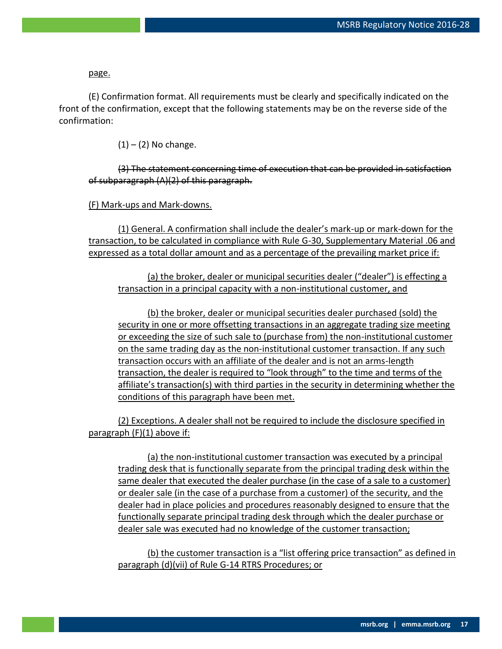#### page.

(E) Confirmation format. All requirements must be clearly and specifically indicated on the front of the confirmation, except that the following statements may be on the reverse side of the confirmation:

 $(1) - (2)$  No change.

#### (3) The statement concerning time of execution that can be provided in satisfaction of subparagraph (A)(2) of this paragraph.

#### (F) Mark-ups and Mark-downs.

(1) General. A confirmation shall include the dealer's mark-up or mark-down for the transaction, to be calculated in compliance with Rule G-30, Supplementary Material .06 and expressed as a total dollar amount and as a percentage of the prevailing market price if:

(a) the broker, dealer or municipal securities dealer ("dealer") is effecting a transaction in a principal capacity with a non-institutional customer, and

(b) the broker, dealer or municipal securities dealer purchased (sold) the security in one or more offsetting transactions in an aggregate trading size meeting or exceeding the size of such sale to (purchase from) the non-institutional customer on the same trading day as the non-institutional customer transaction. If any such transaction occurs with an affiliate of the dealer and is not an arms-length transaction, the dealer is required to "look through" to the time and terms of the affiliate's transaction(s) with third parties in the security in determining whether the conditions of this paragraph have been met.

(2) Exceptions. A dealer shall not be required to include the disclosure specified in paragraph (F)(1) above if:

(a) the non-institutional customer transaction was executed by a principal trading desk that is functionally separate from the principal trading desk within the same dealer that executed the dealer purchase (in the case of a sale to a customer) or dealer sale (in the case of a purchase from a customer) of the security, and the dealer had in place policies and procedures reasonably designed to ensure that the functionally separate principal trading desk through which the dealer purchase or dealer sale was executed had no knowledge of the customer transaction;

(b) the customer transaction is a "list offering price transaction" as defined in paragraph (d)(vii) of Rule G-14 RTRS Procedures; or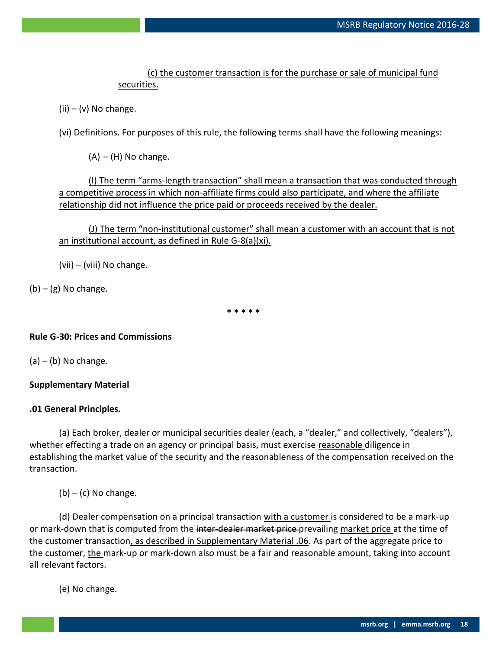(c) the customer transaction is for the purchase or sale of municipal fund securities.

 $(ii) - (v)$  No change.

(vi) Definitions. For purposes of this rule, the following terms shall have the following meanings:

 $(A) - (H)$  No change.

(I) The term "arms-length transaction" shall mean a transaction that was conducted through a competitive process in which non-affiliate firms could also participate, and where the affiliate relationship did not influence the price paid or proceeds received by the dealer.

(J) The term "non-institutional customer" shall mean a customer with an account that is not an institutional account, as defined in Rule G-8(a)(xi).

(vii) – (viii) No change.

 $(b) - (g)$  No change.

**\* \* \* \* \***

#### **Rule G-30: Prices and Commissions**

 $(a) - (b)$  No change.

#### **Supplementary Material**

#### **.01 General Principles.**

(a) Each broker, dealer or municipal securities dealer (each, a "dealer," and collectively, "dealers"), whether effecting a trade on an agency or principal basis, must exercise reasonable diligence in establishing the market value of the security and the reasonableness of the compensation received on the transaction.

 $(b) - (c)$  No change.

(d) Dealer compensation on a principal transaction with a customer is considered to be a mark-up or mark-down that is computed from the inter-dealer market price-prevailing market price at the time of the customer transaction, as described in Supplementary Material .06. As part of the aggregate price to the customer, the mark-up or mark-down also must be a fair and reasonable amount, taking into account all relevant factors.

(e) No change.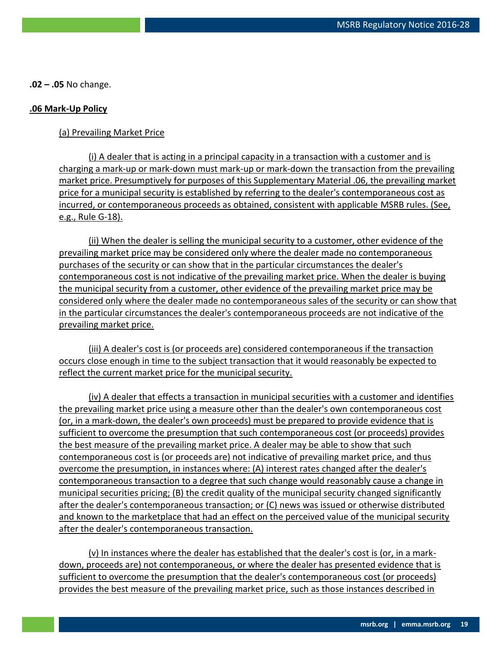**.02 – .05** No change.

#### **.06 Mark-Up Policy**

#### (a) Prevailing Market Price

(i) A dealer that is acting in a principal capacity in a transaction with a customer and is charging a mark-up or mark-down must mark-up or mark-down the transaction from the prevailing market price. Presumptively for purposes of this Supplementary Material .06, the prevailing market price for a municipal security is established by referring to the dealer's contemporaneous cost as incurred, or contemporaneous proceeds as obtained, consistent with applicable MSRB rules. (See, e.g., Rule G-18).

(ii) When the dealer is selling the municipal security to a customer, other evidence of the prevailing market price may be considered only where the dealer made no contemporaneous purchases of the security or can show that in the particular circumstances the dealer's contemporaneous cost is not indicative of the prevailing market price. When the dealer is buying the municipal security from a customer, other evidence of the prevailing market price may be considered only where the dealer made no contemporaneous sales of the security or can show that in the particular circumstances the dealer's contemporaneous proceeds are not indicative of the prevailing market price.

(iii) A dealer's cost is (or proceeds are) considered contemporaneous if the transaction occurs close enough in time to the subject transaction that it would reasonably be expected to reflect the current market price for the municipal security.

(iv) A dealer that effects a transaction in municipal securities with a customer and identifies the prevailing market price using a measure other than the dealer's own contemporaneous cost (or, in a mark-down, the dealer's own proceeds) must be prepared to provide evidence that is sufficient to overcome the presumption that such contemporaneous cost (or proceeds) provides the best measure of the prevailing market price. A dealer may be able to show that such contemporaneous cost is (or proceeds are) not indicative of prevailing market price, and thus overcome the presumption, in instances where: (A) interest rates changed after the dealer's contemporaneous transaction to a degree that such change would reasonably cause a change in municipal securities pricing; (B) the credit quality of the municipal security changed significantly after the dealer's contemporaneous transaction; or (C) news was issued or otherwise distributed and known to the marketplace that had an effect on the perceived value of the municipal security after the dealer's contemporaneous transaction.

(v) In instances where the dealer has established that the dealer's cost is (or, in a markdown, proceeds are) not contemporaneous, or where the dealer has presented evidence that is sufficient to overcome the presumption that the dealer's contemporaneous cost (or proceeds) provides the best measure of the prevailing market price, such as those instances described in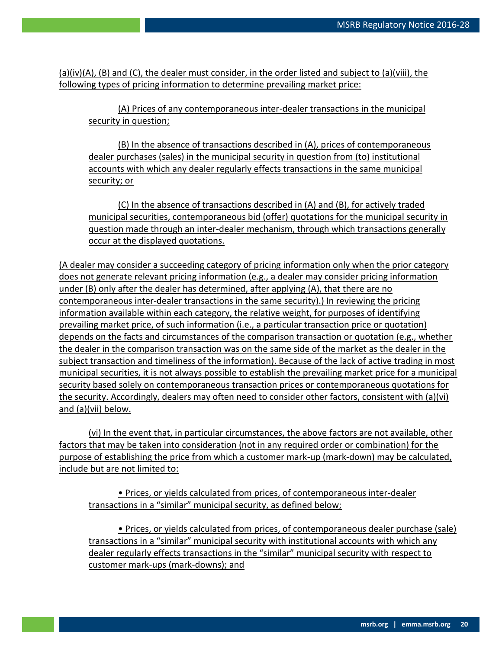(a)(iv)(A), (B) and (C), the dealer must consider, in the order listed and subject to (a)(viii), the following types of pricing information to determine prevailing market price:

(A) Prices of any contemporaneous inter-dealer transactions in the municipal security in question;

(B) In the absence of transactions described in (A), prices of contemporaneous dealer purchases (sales) in the municipal security in question from (to) institutional accounts with which any dealer regularly effects transactions in the same municipal security; or

(C) In the absence of transactions described in (A) and (B), for actively traded municipal securities, contemporaneous bid (offer) quotations for the municipal security in question made through an inter-dealer mechanism, through which transactions generally occur at the displayed quotations.

(A dealer may consider a succeeding category of pricing information only when the prior category does not generate relevant pricing information (e.g., a dealer may consider pricing information under (B) only after the dealer has determined, after applying (A), that there are no contemporaneous inter-dealer transactions in the same security).) In reviewing the pricing information available within each category, the relative weight, for purposes of identifying prevailing market price, of such information (i.e., a particular transaction price or quotation) depends on the facts and circumstances of the comparison transaction or quotation (e.g., whether the dealer in the comparison transaction was on the same side of the market as the dealer in the subject transaction and timeliness of the information). Because of the lack of active trading in most municipal securities, it is not always possible to establish the prevailing market price for a municipal security based solely on contemporaneous transaction prices or contemporaneous quotations for the security. Accordingly, dealers may often need to consider other factors, consistent with (a)(vi) and (a)(vii) below.

(vi) In the event that, in particular circumstances, the above factors are not available, other factors that may be taken into consideration (not in any required order or combination) for the purpose of establishing the price from which a customer mark-up (mark-down) may be calculated, include but are not limited to:

• Prices, or yields calculated from prices, of contemporaneous inter-dealer transactions in a "similar" municipal security, as defined below;

• Prices, or yields calculated from prices, of contemporaneous dealer purchase (sale) transactions in a "similar" municipal security with institutional accounts with which any dealer regularly effects transactions in the "similar" municipal security with respect to customer mark-ups (mark-downs); and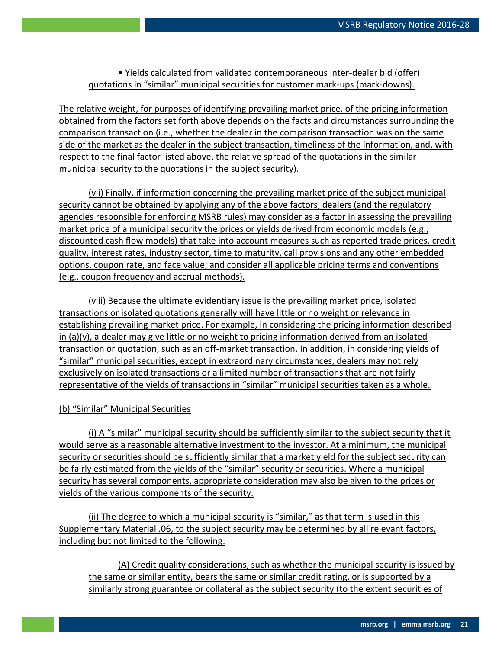• Yields calculated from validated contemporaneous inter-dealer bid (offer) quotations in "similar" municipal securities for customer mark-ups (mark-downs).

The relative weight, for purposes of identifying prevailing market price, of the pricing information obtained from the factors set forth above depends on the facts and circumstances surrounding the comparison transaction (i.e., whether the dealer in the comparison transaction was on the same side of the market as the dealer in the subject transaction, timeliness of the information, and, with respect to the final factor listed above, the relative spread of the quotations in the similar municipal security to the quotations in the subject security).

(vii) Finally, if information concerning the prevailing market price of the subject municipal security cannot be obtained by applying any of the above factors, dealers (and the regulatory agencies responsible for enforcing MSRB rules) may consider as a factor in assessing the prevailing market price of a municipal security the prices or yields derived from economic models (e.g., discounted cash flow models) that take into account measures such as reported trade prices, credit quality, interest rates, industry sector, time to maturity, call provisions and any other embedded options, coupon rate, and face value; and consider all applicable pricing terms and conventions (e.g., coupon frequency and accrual methods).

(viii) Because the ultimate evidentiary issue is the prevailing market price, isolated transactions or isolated quotations generally will have little or no weight or relevance in establishing prevailing market price. For example, in considering the pricing information described in (a)(v), a dealer may give little or no weight to pricing information derived from an isolated transaction or quotation, such as an off-market transaction. In addition, in considering yields of "similar" municipal securities, except in extraordinary circumstances, dealers may not rely exclusively on isolated transactions or a limited number of transactions that are not fairly representative of the yields of transactions in "similar" municipal securities taken as a whole.

#### (b) "Similar" Municipal Securities

(i) A "similar" municipal security should be sufficiently similar to the subject security that it would serve as a reasonable alternative investment to the investor. At a minimum, the municipal security or securities should be sufficiently similar that a market yield for the subject security can be fairly estimated from the yields of the "similar" security or securities. Where a municipal security has several components, appropriate consideration may also be given to the prices or yields of the various components of the security.

(ii) The degree to which a municipal security is "similar," as that term is used in this Supplementary Material .06, to the subject security may be determined by all relevant factors, including but not limited to the following:

(A) Credit quality considerations, such as whether the municipal security is issued by the same or similar entity, bears the same or similar credit rating, or is supported by a similarly strong guarantee or collateral as the subject security (to the extent securities of